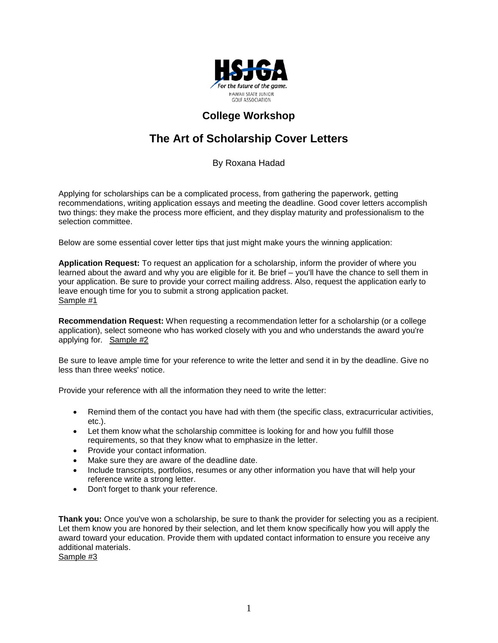

## **College Workshop**

# **The Art of Scholarship Cover Letters**

By Roxana Hadad

Applying for scholarships can be a complicated process, from gathering the paperwork, getting recommendations, writing application essays and meeting the deadline. Good cover letters accomplish two things: they make the process more efficient, and they display maturity and professionalism to the selection committee.

Below are some essential cover letter tips that just might make yours the winning application:

**Application Request:** To request an application for a scholarship, inform the provider of where you learned about the award and why you are eligible for it. Be brief – you'll have the chance to sell them in your application. Be sure to provide your correct mailing address. Also, request the application early to leave enough time for you to submit a strong application packet. [Sample #1](http://www.fastweb.com/flash/content/focus/story/#1)

**Recommendation Request:** When requesting a recommendation letter for a scholarship (or a college application), select someone who has worked closely with you and who understands the award you're applying for*.* Sample #2

Be sure to leave ample time for your reference to write the letter and send it in by the deadline. Give no less than three weeks' notice.

Provide your reference with all the information they need to write the letter:

- Remind them of the contact you have had with them (the specific class, extracurricular activities, etc.).
- Let them know what the scholarship committee is looking for and how you fulfill those requirements, so that they know what to emphasize in the letter.
- Provide your contact information.
- Make sure they are aware of the deadline date.
- Include transcripts, portfolios, resumes or any other information you have that will help your reference write a strong letter.
- Don't forget to thank your reference.

**Thank you:** Once you've won a scholarship, be sure to thank the provider for selecting you as a recipient. Let them know you are honored by their selection, and let them know specifically how you will apply the award toward your education. Provide them with updated contact information to ensure you receive any additional materials.

[Sample #3](http://www.fastweb.com/flash/content/focus/story/#3)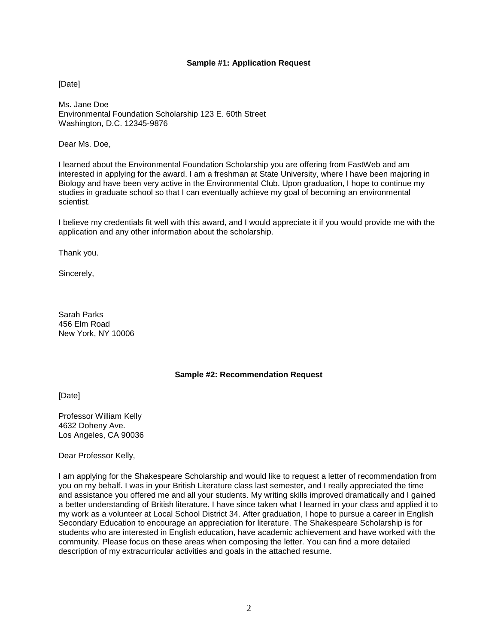#### **Sample #1: Application Request**

[Date]

Ms. Jane Doe Environmental Foundation Scholarship 123 E. 60th Street Washington, D.C. 12345-9876

Dear Ms. Doe,

I learned about the Environmental Foundation Scholarship you are offering from FastWeb and am interested in applying for the award. I am a freshman at State University, where I have been majoring in Biology and have been very active in the Environmental Club. Upon graduation, I hope to continue my studies in graduate school so that I can eventually achieve my goal of becoming an environmental scientist.

I believe my credentials fit well with this award, and I would appreciate it if you would provide me with the application and any other information about the scholarship.

Thank you.

Sincerely,

Sarah Parks 456 Elm Road New York, NY 10006

### **Sample #2: Recommendation Request**

[Date]

Professor William Kelly 4632 Doheny Ave. Los Angeles, CA 90036

Dear Professor Kelly,

I am applying for the Shakespeare Scholarship and would like to request a letter of recommendation from you on my behalf. I was in your British Literature class last semester, and I really appreciated the time and assistance you offered me and all your students. My writing skills improved dramatically and I gained a better understanding of British literature. I have since taken what I learned in your class and applied it to my work as a volunteer at Local School District 34. After graduation, I hope to pursue a career in English Secondary Education to encourage an appreciation for literature. The Shakespeare Scholarship is for students who are interested in English education, have academic achievement and have worked with the community. Please focus on these areas when composing the letter. You can find a more detailed description of my extracurricular activities and goals in the attached resume.